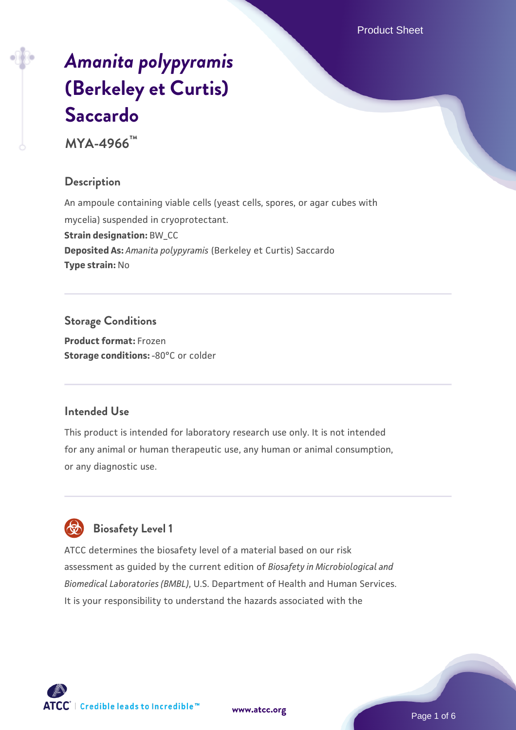Product Sheet

# *[Amanita polypyramis](https://www.atcc.org/products/mya-4966)* **[\(Berkeley et Curtis\)](https://www.atcc.org/products/mya-4966) [Saccardo](https://www.atcc.org/products/mya-4966)**

**MYA-4966™**

# **Description**

An ampoule containing viable cells (yeast cells, spores, or agar cubes with mycelia) suspended in cryoprotectant. **Strain designation: BW CC Deposited As:** *Amanita polypyramis* (Berkeley et Curtis) Saccardo **Type strain:** No

**Storage Conditions Product format:** Frozen **Storage conditions: -80°C or colder** 

# **Intended Use**

This product is intended for laboratory research use only. It is not intended for any animal or human therapeutic use, any human or animal consumption, or any diagnostic use.



# **Biosafety Level 1**

ATCC determines the biosafety level of a material based on our risk assessment as guided by the current edition of *Biosafety in Microbiological and Biomedical Laboratories (BMBL)*, U.S. Department of Health and Human Services. It is your responsibility to understand the hazards associated with the

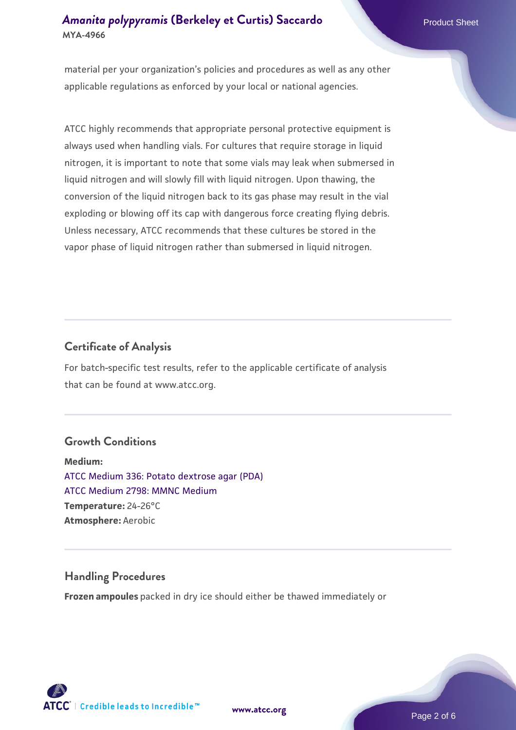material per your organization's policies and procedures as well as any other applicable regulations as enforced by your local or national agencies.

ATCC highly recommends that appropriate personal protective equipment is always used when handling vials. For cultures that require storage in liquid nitrogen, it is important to note that some vials may leak when submersed in liquid nitrogen and will slowly fill with liquid nitrogen. Upon thawing, the conversion of the liquid nitrogen back to its gas phase may result in the vial exploding or blowing off its cap with dangerous force creating flying debris. Unless necessary, ATCC recommends that these cultures be stored in the vapor phase of liquid nitrogen rather than submersed in liquid nitrogen.

# **Certificate of Analysis**

For batch-specific test results, refer to the applicable certificate of analysis that can be found at www.atcc.org.

# **Growth Conditions**

**Medium:**  [ATCC Medium 336: Potato dextrose agar \(PDA\)](https://www.atcc.org/-/media/product-assets/documents/microbial-media-formulations/3/3/6/atcc-medium-336.pdf?rev=d9160ad44d934cd8b65175461abbf3b9) [ATCC Medium 2798: MMNC Medium](https://www.atcc.org/-/media/product-assets/documents/microbial-media-formulations/atcc-medium-2798.pdf?rev=b502e79ee8eb4df5ab16354a60eb9f62) **Temperature:** 24-26°C **Atmosphere:** Aerobic

# **Handling Procedures**

**Frozen ampoules** packed in dry ice should either be thawed immediately or

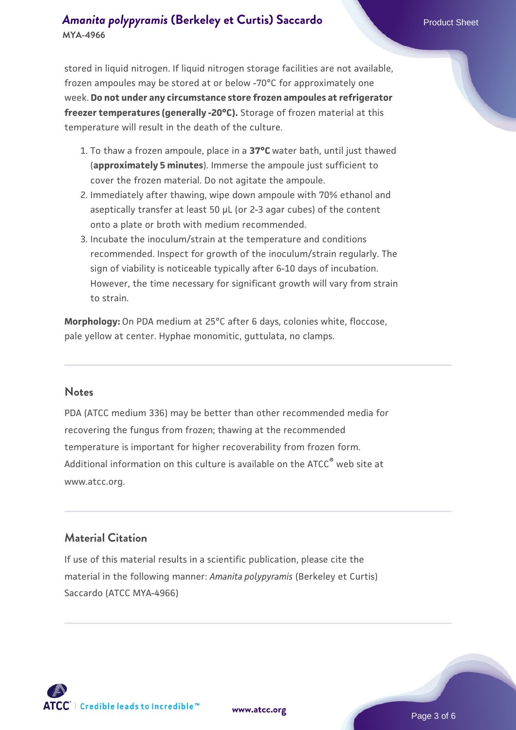stored in liquid nitrogen. If liquid nitrogen storage facilities are not available, frozen ampoules may be stored at or below -70°C for approximately one week. **Do not under any circumstance store frozen ampoules at refrigerator freezer temperatures (generally -20°C).** Storage of frozen material at this temperature will result in the death of the culture.

- 1. To thaw a frozen ampoule, place in a **37°C** water bath, until just thawed (**approximately 5 minutes**). Immerse the ampoule just sufficient to cover the frozen material. Do not agitate the ampoule.
- 2. Immediately after thawing, wipe down ampoule with 70% ethanol and aseptically transfer at least 50 µL (or 2-3 agar cubes) of the content onto a plate or broth with medium recommended.
- 3. Incubate the inoculum/strain at the temperature and conditions recommended. Inspect for growth of the inoculum/strain regularly. The sign of viability is noticeable typically after 6-10 days of incubation. However, the time necessary for significant growth will vary from strain to strain.

**Morphology:** On PDA medium at 25°C after 6 days, colonies white, floccose, pale yellow at center. Hyphae monomitic, guttulata, no clamps.

#### **Notes**

PDA (ATCC medium 336) may be better than other recommended media for recovering the fungus from frozen; thawing at the recommended temperature is important for higher recoverability from frozen form. Additional information on this culture is available on the ATCC<sup>®</sup> web site at www.atcc.org.

# **Material Citation**

If use of this material results in a scientific publication, please cite the material in the following manner: *Amanita polypyramis* (Berkeley et Curtis) Saccardo (ATCC MYA-4966)



**[www.atcc.org](http://www.atcc.org)**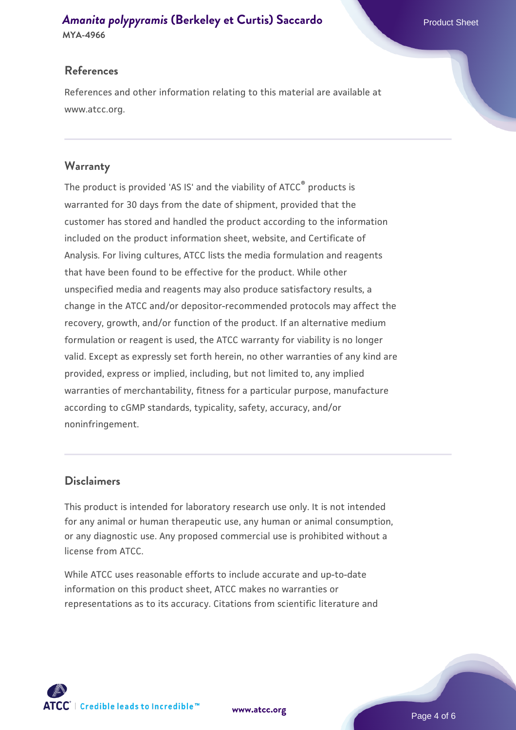#### **References**

References and other information relating to this material are available at www.atcc.org.

#### **Warranty**

The product is provided 'AS IS' and the viability of ATCC® products is warranted for 30 days from the date of shipment, provided that the customer has stored and handled the product according to the information included on the product information sheet, website, and Certificate of Analysis. For living cultures, ATCC lists the media formulation and reagents that have been found to be effective for the product. While other unspecified media and reagents may also produce satisfactory results, a change in the ATCC and/or depositor-recommended protocols may affect the recovery, growth, and/or function of the product. If an alternative medium formulation or reagent is used, the ATCC warranty for viability is no longer valid. Except as expressly set forth herein, no other warranties of any kind are provided, express or implied, including, but not limited to, any implied warranties of merchantability, fitness for a particular purpose, manufacture according to cGMP standards, typicality, safety, accuracy, and/or noninfringement.

#### **Disclaimers**

This product is intended for laboratory research use only. It is not intended for any animal or human therapeutic use, any human or animal consumption, or any diagnostic use. Any proposed commercial use is prohibited without a license from ATCC.

While ATCC uses reasonable efforts to include accurate and up-to-date information on this product sheet, ATCC makes no warranties or representations as to its accuracy. Citations from scientific literature and

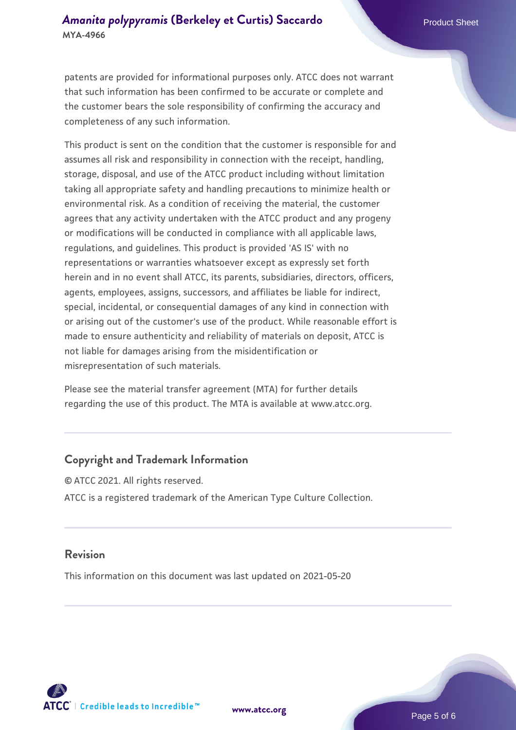patents are provided for informational purposes only. ATCC does not warrant that such information has been confirmed to be accurate or complete and the customer bears the sole responsibility of confirming the accuracy and completeness of any such information.

This product is sent on the condition that the customer is responsible for and assumes all risk and responsibility in connection with the receipt, handling, storage, disposal, and use of the ATCC product including without limitation taking all appropriate safety and handling precautions to minimize health or environmental risk. As a condition of receiving the material, the customer agrees that any activity undertaken with the ATCC product and any progeny or modifications will be conducted in compliance with all applicable laws, regulations, and guidelines. This product is provided 'AS IS' with no representations or warranties whatsoever except as expressly set forth herein and in no event shall ATCC, its parents, subsidiaries, directors, officers, agents, employees, assigns, successors, and affiliates be liable for indirect, special, incidental, or consequential damages of any kind in connection with or arising out of the customer's use of the product. While reasonable effort is made to ensure authenticity and reliability of materials on deposit, ATCC is not liable for damages arising from the misidentification or misrepresentation of such materials.

Please see the material transfer agreement (MTA) for further details regarding the use of this product. The MTA is available at www.atcc.org.

# **Copyright and Trademark Information**

© ATCC 2021. All rights reserved. ATCC is a registered trademark of the American Type Culture Collection.

#### **Revision**

This information on this document was last updated on 2021-05-20



**[www.atcc.org](http://www.atcc.org)**

Page 5 of 6